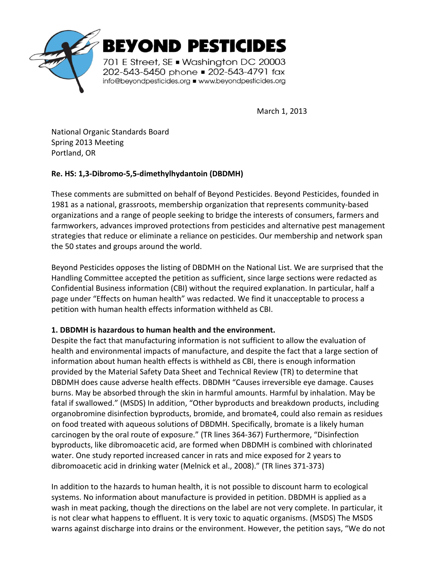

March 1, 2013

National Organic Standards Board Spring 2013 Meeting Portland, OR

## **Re. HS: 1,3-Dibromo-5,5-dimethylhydantoin (DBDMH)**

These comments are submitted on behalf of Beyond Pesticides. Beyond Pesticides, founded in 1981 as a national, grassroots, membership organization that represents community-based organizations and a range of people seeking to bridge the interests of consumers, farmers and farmworkers, advances improved protections from pesticides and alternative pest management strategies that reduce or eliminate a reliance on pesticides. Our membership and network span the 50 states and groups around the world.

Beyond Pesticides opposes the listing of DBDMH on the National List. We are surprised that the Handling Committee accepted the petition as sufficient, since large sections were redacted as Confidential Business information (CBI) without the required explanation. In particular, half a page under "Effects on human health" was redacted. We find it unacceptable to process a petition with human health effects information withheld as CBI.

## **1. DBDMH is hazardous to human health and the environment.**

Despite the fact that manufacturing information is not sufficient to allow the evaluation of health and environmental impacts of manufacture, and despite the fact that a large section of information about human health effects is withheld as CBI, there is enough information provided by the Material Safety Data Sheet and Technical Review (TR) to determine that DBDMH does cause adverse health effects. DBDMH "Causes irreversible eye damage. Causes burns. May be absorbed through the skin in harmful amounts. Harmful by inhalation. May be fatal if swallowed." (MSDS) In addition, "Other byproducts and breakdown products, including organobromine disinfection byproducts, bromide, and bromate4, could also remain as residues on food treated with aqueous solutions of DBDMH. Specifically, bromate is a likely human carcinogen by the oral route of exposure." (TR lines 364-367) Furthermore, "Disinfection byproducts, like dibromoacetic acid, are formed when DBDMH is combined with chlorinated water. One study reported increased cancer in rats and mice exposed for 2 years to dibromoacetic acid in drinking water (Melnick et al., 2008)." (TR lines 371-373)

In addition to the hazards to human health, it is not possible to discount harm to ecological systems. No information about manufacture is provided in petition. DBDMH is applied as a wash in meat packing, though the directions on the label are not very complete. In particular, it is not clear what happens to effluent. It is very toxic to aquatic organisms. (MSDS) The MSDS warns against discharge into drains or the environment. However, the petition says, "We do not